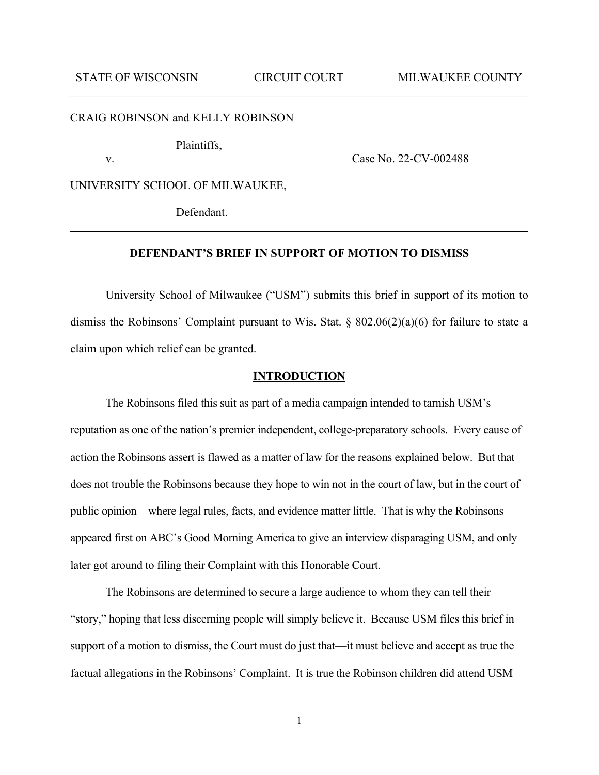#### CRAIG ROBINSON and KELLY ROBINSON

Plaintiffs,

v. Case No. 22-CV-002488

UNIVERSITY SCHOOL OF MILWAUKEE,

Defendant.

### **DEFENDANT'S BRIEF IN SUPPORT OF MOTION TO DISMISS**

University School of Milwaukee ("USM") submits this brief in support of its motion to dismiss the Robinsons' Complaint pursuant to Wis. Stat. § 802.06(2)(a)(6) for failure to state a claim upon which relief can be granted.

#### **INTRODUCTION**

The Robinsons filed this suit as part of a media campaign intended to tarnish USM's reputation as one of the nation's premier independent, college-preparatory schools. Every cause of action the Robinsons assert is flawed as a matter of law for the reasons explained below. But that does not trouble the Robinsons because they hope to win not in the court of law, but in the court of public opinion—where legal rules, facts, and evidence matter little. That is why the Robinsons appeared first on ABC's Good Morning America to give an interview disparaging USM, and only later got around to filing their Complaint with this Honorable Court.

The Robinsons are determined to secure a large audience to whom they can tell their "story," hoping that less discerning people will simply believe it. Because USM files this brief in support of a motion to dismiss, the Court must do just that—it must believe and accept as true the factual allegations in the Robinsons' Complaint. It is true the Robinson children did attend USM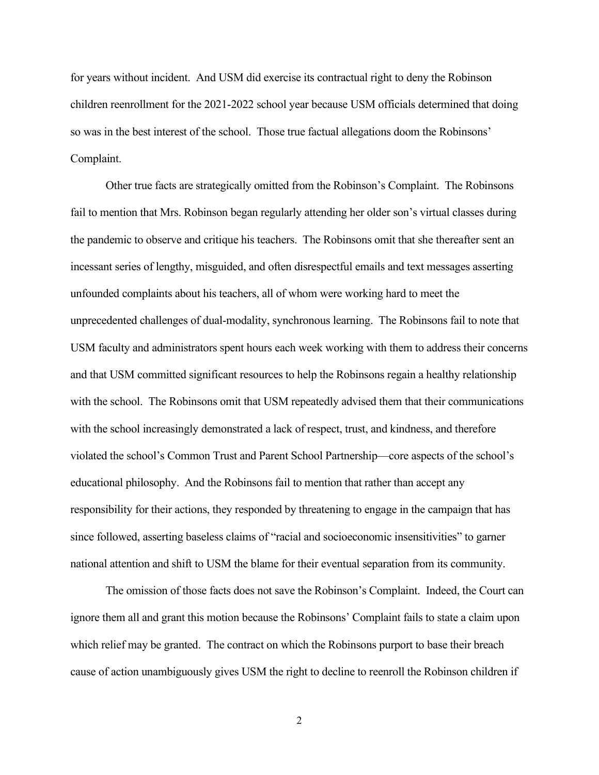for years without incident. And USM did exercise its contractual right to deny the Robinson children reenrollment for the 2021-2022 school year because USM officials determined that doing so was in the best interest of the school. Those true factual allegations doom the Robinsons' Complaint.

Other true facts are strategically omitted from the Robinson's Complaint. The Robinsons fail to mention that Mrs. Robinson began regularly attending her older son's virtual classes during the pandemic to observe and critique his teachers. The Robinsons omit that she thereafter sent an incessant series of lengthy, misguided, and often disrespectful emails and text messages asserting unfounded complaints about his teachers, all of whom were working hard to meet the unprecedented challenges of dual-modality, synchronous learning. The Robinsons fail to note that USM faculty and administrators spent hours each week working with them to address their concerns and that USM committed significant resources to help the Robinsons regain a healthy relationship with the school. The Robinsons omit that USM repeatedly advised them that their communications with the school increasingly demonstrated a lack of respect, trust, and kindness, and therefore violated the school's Common Trust and Parent School Partnership—core aspects of the school's educational philosophy. And the Robinsons fail to mention that rather than accept any responsibility for their actions, they responded by threatening to engage in the campaign that has since followed, asserting baseless claims of "racial and socioeconomic insensitivities" to garner national attention and shift to USM the blame for their eventual separation from its community.

The omission of those facts does not save the Robinson's Complaint. Indeed, the Court can ignore them all and grant this motion because the Robinsons' Complaint fails to state a claim upon which relief may be granted. The contract on which the Robinsons purport to base their breach cause of action unambiguously gives USM the right to decline to reenroll the Robinson children if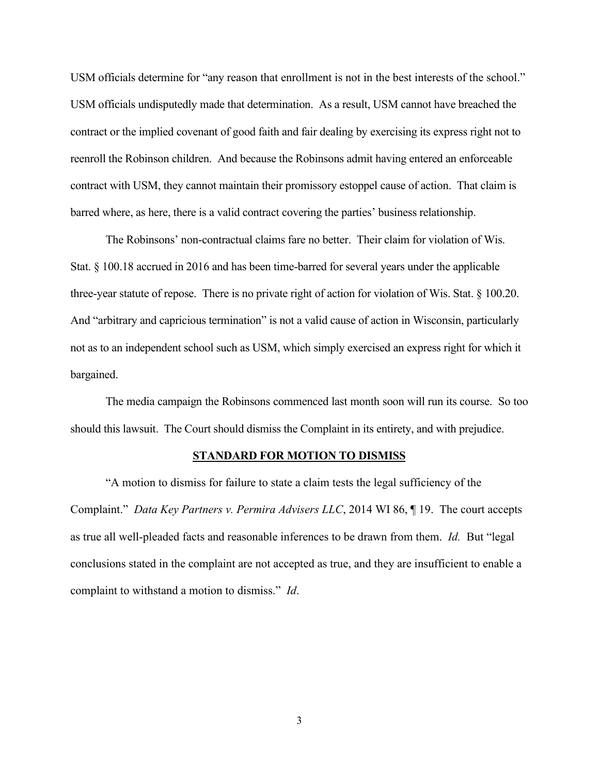USM officials determine for "any reason that enrollment is not in the best interests of the school." USM officials undisputedly made that determination. As a result, USM cannot have breached the contract or the implied covenant of good faith and fair dealing by exercising its express right not to reenroll the Robinson children. And because the Robinsons admit having entered an enforceable contract with USM, they cannot maintain their promissory estoppel cause of action. That claim is barred where, as here, there is a valid contract covering the parties' business relationship.

The Robinsons' non-contractual claims fare no better. Their claim for violation of Wis. Stat. § 100.18 accrued in 2016 and has been time-barred for several years under the applicable three-year statute of repose. There is no private right of action for violation of Wis. Stat. § 100.20. And "arbitrary and capricious termination" is not a valid cause of action in Wisconsin, particularly not as to an independent school such as USM, which simply exercised an express right for which it bargained.

The media campaign the Robinsons commenced last month soon will run its course. So too should this lawsuit. The Court should dismiss the Complaint in its entirety, and with prejudice.

#### **STANDARD FOR MOTION TO DISMISS**

"A motion to dismiss for failure to state a claim tests the legal sufficiency of the Complaint." *Data Key Partners v. Permira Advisers LLC*, 2014 WI 86, ¶ 19. The court accepts as true all well-pleaded facts and reasonable inferences to be drawn from them. *Id.* But "legal conclusions stated in the complaint are not accepted as true, and they are insufficient to enable a complaint to withstand a motion to dismiss." *Id*.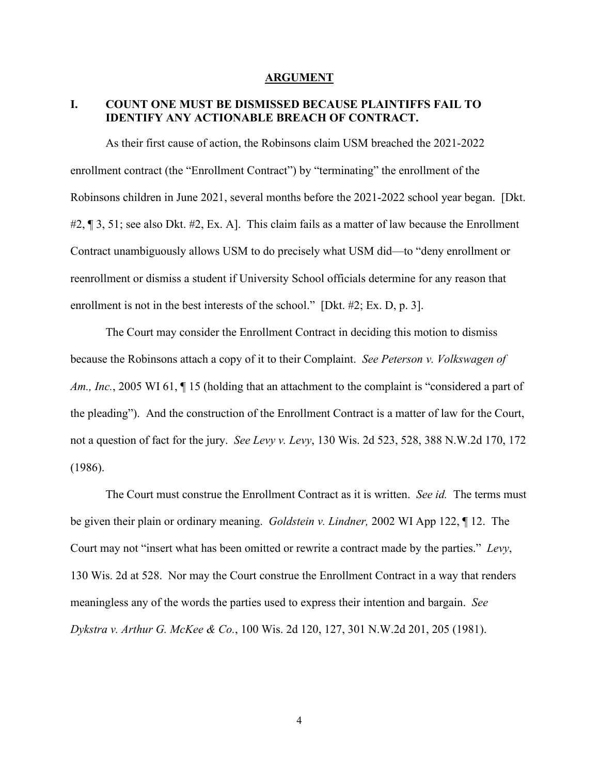#### **ARGUMENT**

# **I. COUNT ONE MUST BE DISMISSED BECAUSE PLAINTIFFS FAIL TO IDENTIFY ANY ACTIONABLE BREACH OF CONTRACT.**

As their first cause of action, the Robinsons claim USM breached the 2021-2022 enrollment contract (the "Enrollment Contract") by "terminating" the enrollment of the Robinsons children in June 2021, several months before the 2021-2022 school year began. [Dkt. #2, ¶ 3, 51; see also Dkt. #2, Ex. A]. This claim fails as a matter of law because the Enrollment Contract unambiguously allows USM to do precisely what USM did—to "deny enrollment or reenrollment or dismiss a student if University School officials determine for any reason that enrollment is not in the best interests of the school." [Dkt. #2; Ex. D, p. 3].

The Court may consider the Enrollment Contract in deciding this motion to dismiss because the Robinsons attach a copy of it to their Complaint. *See Peterson v. Volkswagen of Am., Inc.*, 2005 WI 61,  $\P$  15 (holding that an attachment to the complaint is "considered a part of the pleading"). And the construction of the Enrollment Contract is a matter of law for the Court, not a question of fact for the jury. *See Levy v. Levy*, 130 Wis. 2d 523, 528, 388 N.W.2d 170, 172 (1986).

The Court must construe the Enrollment Contract as it is written. *See id.* The terms must be given their plain or ordinary meaning. *Goldstein v. Lindner,* 2002 WI App 122, ¶ 12. The Court may not "insert what has been omitted or rewrite a contract made by the parties." *Levy*, 130 Wis. 2d at 528.Nor may the Court construe the Enrollment Contract in a way that renders meaningless any of the words the parties used to express their intention and bargain. *See Dykstra v. Arthur G. McKee & Co.*, 100 Wis. 2d 120, 127, 301 N.W.2d 201, 205 (1981).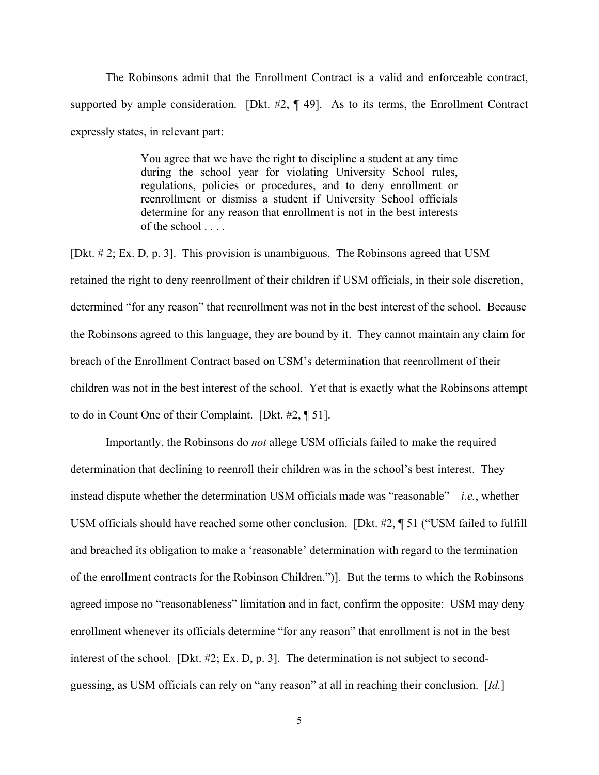The Robinsons admit that the Enrollment Contract is a valid and enforceable contract, supported by ample consideration. [Dkt.  $\#2$ ,  $\P$  49]. As to its terms, the Enrollment Contract expressly states, in relevant part:

> You agree that we have the right to discipline a student at any time during the school year for violating University School rules, regulations, policies or procedures, and to deny enrollment or reenrollment or dismiss a student if University School officials determine for any reason that enrollment is not in the best interests of the school . . . .

[Dkt. # 2; Ex. D, p. 3]. This provision is unambiguous. The Robinsons agreed that USM retained the right to deny reenrollment of their children if USM officials, in their sole discretion, determined "for any reason" that reenrollment was not in the best interest of the school. Because the Robinsons agreed to this language, they are bound by it. They cannot maintain any claim for breach of the Enrollment Contract based on USM's determination that reenrollment of their children was not in the best interest of the school. Yet that is exactly what the Robinsons attempt to do in Count One of their Complaint. [Dkt. #2, ¶ 51].

Importantly, the Robinsons do *not* allege USM officials failed to make the required determination that declining to reenroll their children was in the school's best interest. They instead dispute whether the determination USM officials made was "reasonable"—*i.e.*, whether USM officials should have reached some other conclusion. [Dkt. #2, ¶ 51 ("USM failed to fulfill and breached its obligation to make a 'reasonable' determination with regard to the termination of the enrollment contracts for the Robinson Children.")]. But the terms to which the Robinsons agreed impose no "reasonableness" limitation and in fact, confirm the opposite: USM may deny enrollment whenever its officials determine "for any reason" that enrollment is not in the best interest of the school. [Dkt. #2; Ex. D, p. 3]. The determination is not subject to secondguessing, as USM officials can rely on "any reason" at all in reaching their conclusion. [*Id.*]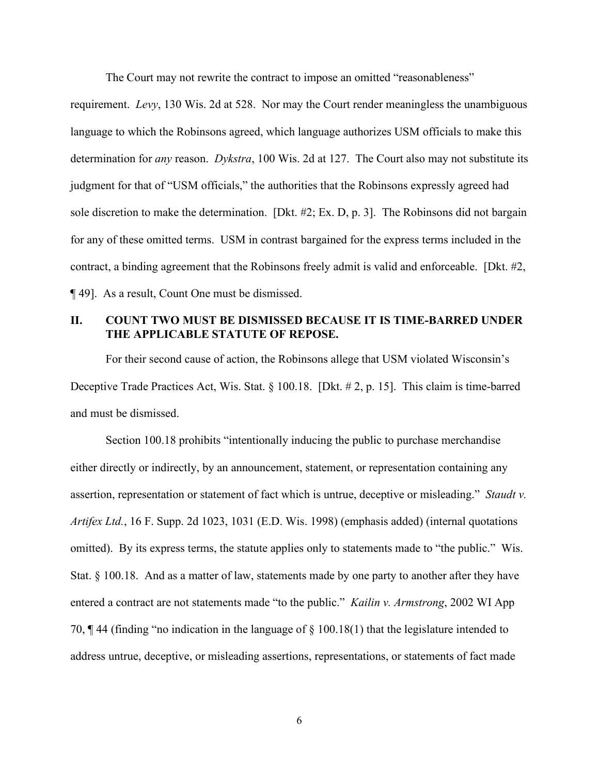The Court may not rewrite the contract to impose an omitted "reasonableness"

requirement. *Levy*, 130 Wis. 2d at 528. Nor may the Court render meaningless the unambiguous language to which the Robinsons agreed, which language authorizes USM officials to make this determination for *any* reason. *Dykstra*, 100 Wis. 2d at 127. The Court also may not substitute its judgment for that of "USM officials," the authorities that the Robinsons expressly agreed had sole discretion to make the determination. [Dkt. #2; Ex. D, p. 3]. The Robinsons did not bargain for any of these omitted terms. USM in contrast bargained for the express terms included in the contract, a binding agreement that the Robinsons freely admit is valid and enforceable. [Dkt. #2, ¶ 49]. As a result, Count One must be dismissed.

# **II. COUNT TWO MUST BE DISMISSED BECAUSE IT IS TIME-BARRED UNDER THE APPLICABLE STATUTE OF REPOSE.**

For their second cause of action, the Robinsons allege that USM violated Wisconsin's Deceptive Trade Practices Act, Wis. Stat. § 100.18. [Dkt. # 2, p. 15]. This claim is time-barred and must be dismissed.

Section 100.18 prohibits "intentionally inducing the public to purchase merchandise either directly or indirectly, by an announcement, statement, or representation containing any assertion, representation or statement of fact which is untrue, deceptive or misleading." *Staudt v. Artifex Ltd.*, 16 F. Supp. 2d 1023, 1031 (E.D. Wis. 1998) (emphasis added) (internal quotations omitted). By its express terms, the statute applies only to statements made to "the public." Wis. Stat. § 100.18. And as a matter of law, statements made by one party to another after they have entered a contract are not statements made "to the public." *Kailin v. Armstrong*, 2002 WI App 70, ¶ 44 (finding "no indication in the language of § 100.18(1) that the legislature intended to address untrue, deceptive, or misleading assertions, representations, or statements of fact made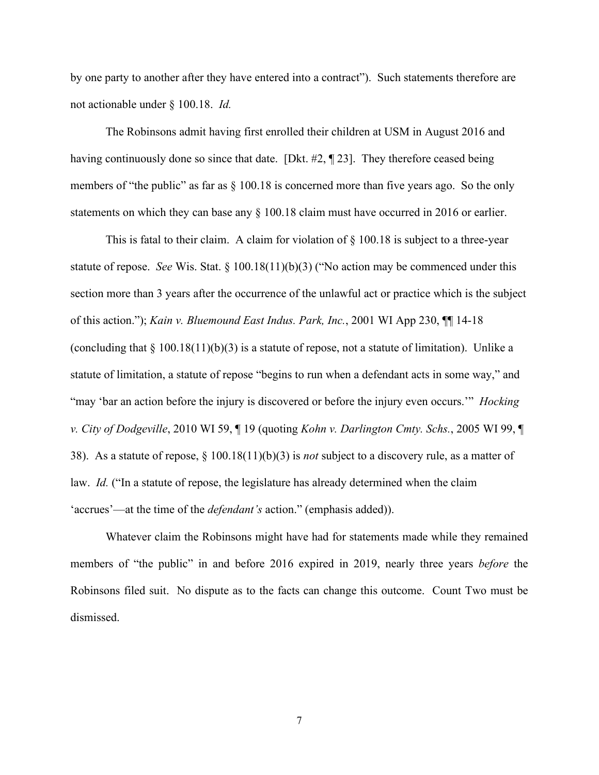by one party to another after they have entered into a contract"). Such statements therefore are not actionable under § 100.18. *Id.*

The Robinsons admit having first enrolled their children at USM in August 2016 and having continuously done so since that date. [Dkt. #2, ¶ 23]. They therefore ceased being members of "the public" as far as  $\S$  100.18 is concerned more than five years ago. So the only statements on which they can base any § 100.18 claim must have occurred in 2016 or earlier.

This is fatal to their claim. A claim for violation of § 100.18 is subject to a three-year statute of repose. *See* Wis. Stat. § 100.18(11)(b)(3) ("No action may be commenced under this section more than 3 years after the occurrence of the unlawful act or practice which is the subject of this action."); *Kain v. Bluemound East Indus. Park, Inc.*, 2001 WI App 230, ¶¶ 14-18 (concluding that  $\S$  100.18(11)(b)(3) is a statute of repose, not a statute of limitation). Unlike a statute of limitation, a statute of repose "begins to run when a defendant acts in some way," and "may 'bar an action before the injury is discovered or before the injury even occurs.'" *Hocking v. City of Dodgeville*, 2010 WI 59, ¶ 19 (quoting *Kohn v. Darlington Cmty. Schs.*, 2005 WI 99, ¶ 38). As a statute of repose, § 100.18(11)(b)(3) is *not* subject to a discovery rule, as a matter of law. *Id.* ("In a statute of repose, the legislature has already determined when the claim 'accrues'—at the time of the *defendant's* action." (emphasis added)).

Whatever claim the Robinsons might have had for statements made while they remained members of "the public" in and before 2016 expired in 2019, nearly three years *before* the Robinsons filed suit. No dispute as to the facts can change this outcome. Count Two must be dismissed.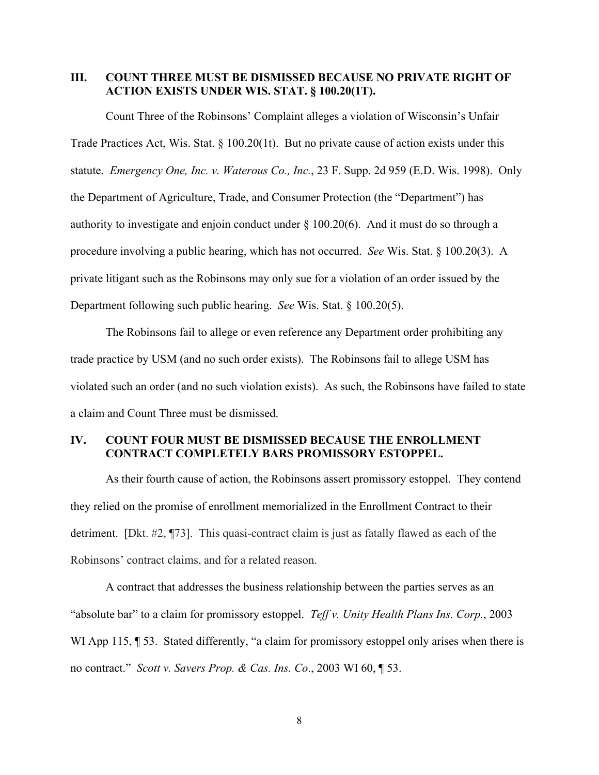### **III. COUNT THREE MUST BE DISMISSED BECAUSE NO PRIVATE RIGHT OF ACTION EXISTS UNDER WIS. STAT. § 100.20(1T).**

Count Three of the Robinsons' Complaint alleges a violation of Wisconsin's Unfair Trade Practices Act, Wis. Stat. § 100.20(1t). But no private cause of action exists under this statute. *Emergency One, Inc. v. Waterous Co., Inc.*, 23 F. Supp. 2d 959 (E.D. Wis. 1998). Only the Department of Agriculture, Trade, and Consumer Protection (the "Department") has authority to investigate and enjoin conduct under  $\S$  100.20(6). And it must do so through a procedure involving a public hearing, which has not occurred. *See* Wis. Stat. § 100.20(3). A private litigant such as the Robinsons may only sue for a violation of an order issued by the Department following such public hearing. *See* Wis. Stat. § 100.20(5).

The Robinsons fail to allege or even reference any Department order prohibiting any trade practice by USM (and no such order exists). The Robinsons fail to allege USM has violated such an order (and no such violation exists). As such, the Robinsons have failed to state a claim and Count Three must be dismissed.

## **IV. COUNT FOUR MUST BE DISMISSED BECAUSE THE ENROLLMENT CONTRACT COMPLETELY BARS PROMISSORY ESTOPPEL.**

As their fourth cause of action, the Robinsons assert promissory estoppel. They contend they relied on the promise of enrollment memorialized in the Enrollment Contract to their detriment. [Dkt. #2, ¶73]. This quasi-contract claim is just as fatally flawed as each of the Robinsons' contract claims, and for a related reason.

A contract that addresses the business relationship between the parties serves as an "absolute bar" to a claim for promissory estoppel. *Teff v. Unity Health Plans Ins. Corp.*, 2003 WI App 115,  $\P$  53. Stated differently, "a claim for promissory estoppel only arises when there is no contract." *Scott v. Savers Prop. & Cas. Ins. Co*., 2003 WI 60, ¶ 53.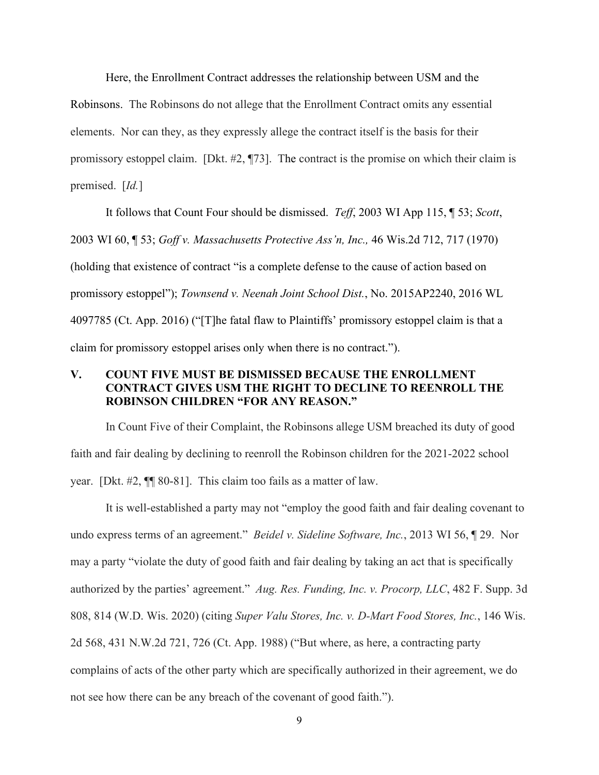Here, the Enrollment Contract addresses the relationship between USM and the

Robinsons. The Robinsons do not allege that the Enrollment Contract omits any essential

elements. Nor can they, as they expressly allege the contract itself is the basis for their

promissory estoppel claim. [Dkt. #2, ¶73]. The contract is the promise on which their claim is

premised. [*Id.*]

It follows that Count Four should be dismissed. *Teff*, 2003 WI App 115, ¶ 53; *Scott*, 2003 WI 60, ¶ 53; *Goff v. Massachusetts Protective Ass'n, Inc.,* 46 Wis.2d 712, 717 (1970) (holding that existence of contract "is a complete defense to the cause of action based on promissory estoppel"); *Townsend v. Neenah Joint School Dist.*, No. 2015AP2240, 2016 WL 4097785 (Ct. App. 2016) ("[T]he fatal flaw to Plaintiffs' promissory estoppel claim is that a claim for promissory estoppel arises only when there is no contract.").

# **V. COUNT FIVE MUST BE DISMISSED BECAUSE THE ENROLLMENT CONTRACT GIVES USM THE RIGHT TO DECLINE TO REENROLL THE ROBINSON CHILDREN "FOR ANY REASON."**

In Count Five of their Complaint, the Robinsons allege USM breached its duty of good faith and fair dealing by declining to reenroll the Robinson children for the 2021-2022 school year. [Dkt. #2, ¶¶ 80-81]. This claim too fails as a matter of law.

It is well-established a party may not "employ the good faith and fair dealing covenant to undo express terms of an agreement." *Beidel v. Sideline Software, Inc.*, 2013 WI 56, ¶ 29. Nor may a party "violate the duty of good faith and fair dealing by taking an act that is specifically authorized by the parties' agreement." *Aug. Res. Funding, Inc. v. Procorp, LLC*, 482 F. Supp. 3d 808, 814 (W.D. Wis. 2020) (citing *Super Valu Stores, Inc. v. D-Mart Food Stores, Inc.*, 146 Wis. 2d 568, 431 N.W.2d 721, 726 (Ct. App. 1988) ("But where, as here, a contracting party complains of acts of the other party which are specifically authorized in their agreement, we do not see how there can be any breach of the covenant of good faith.").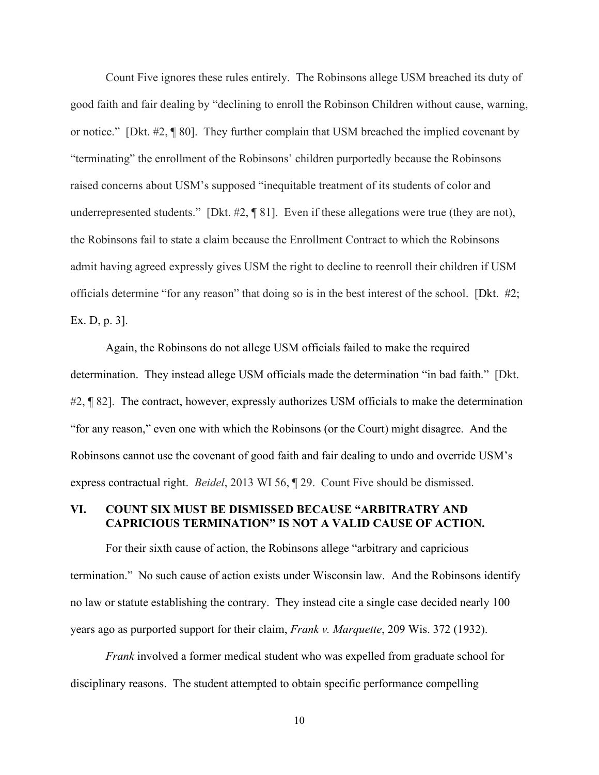Count Five ignores these rules entirely. The Robinsons allege USM breached its duty of good faith and fair dealing by "declining to enroll the Robinson Children without cause, warning, or notice." [Dkt. #2, ¶ 80]. They further complain that USM breached the implied covenant by "terminating" the enrollment of the Robinsons' children purportedly because the Robinsons raised concerns about USM's supposed "inequitable treatment of its students of color and underrepresented students." [Dkt. #2, ¶ 81]. Even if these allegations were true (they are not), the Robinsons fail to state a claim because the Enrollment Contract to which the Robinsons admit having agreed expressly gives USM the right to decline to reenroll their children if USM officials determine "for any reason" that doing so is in the best interest of the school. [Dkt. #2; Ex. D, p. 3].

Again, the Robinsons do not allege USM officials failed to make the required determination. They instead allege USM officials made the determination "in bad faith." [Dkt. #2, ¶ 82]. The contract, however, expressly authorizes USM officials to make the determination "for any reason," even one with which the Robinsons (or the Court) might disagree. And the Robinsons cannot use the covenant of good faith and fair dealing to undo and override USM's express contractual right. *Beidel*, 2013 WI 56, ¶ 29. Count Five should be dismissed.

### **VI. COUNT SIX MUST BE DISMISSED BECAUSE "ARBITRATRY AND CAPRICIOUS TERMINATION" IS NOT A VALID CAUSE OF ACTION.**

For their sixth cause of action, the Robinsons allege "arbitrary and capricious termination." No such cause of action exists under Wisconsin law. And the Robinsons identify no law or statute establishing the contrary. They instead cite a single case decided nearly 100 years ago as purported support for their claim, *Frank v. Marquette*, 209 Wis. 372 (1932).

*Frank* involved a former medical student who was expelled from graduate school for disciplinary reasons. The student attempted to obtain specific performance compelling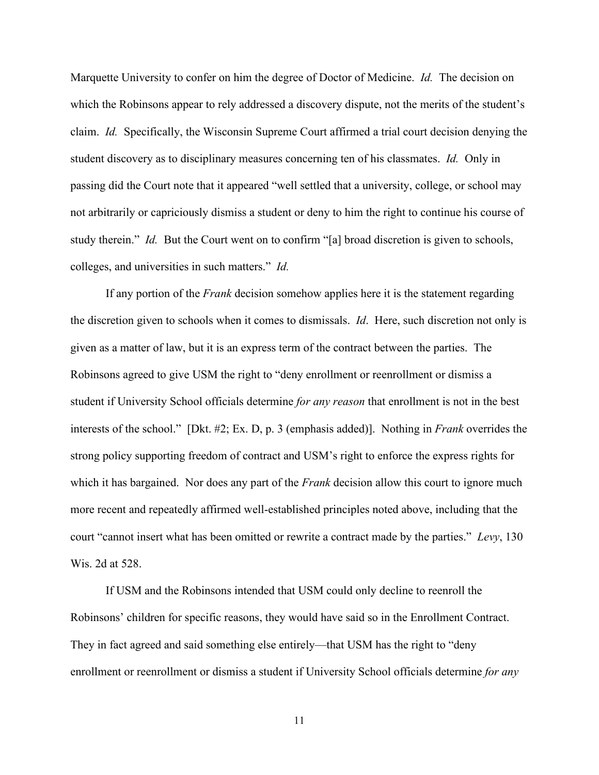Marquette University to confer on him the degree of Doctor of Medicine. *Id.* The decision on which the Robinsons appear to rely addressed a discovery dispute, not the merits of the student's claim. *Id.* Specifically, the Wisconsin Supreme Court affirmed a trial court decision denying the student discovery as to disciplinary measures concerning ten of his classmates. *Id.* Only in passing did the Court note that it appeared "well settled that a university, college, or school may not arbitrarily or capriciously dismiss a student or deny to him the right to continue his course of study therein." *Id.* But the Court went on to confirm "[a] broad discretion is given to schools, colleges, and universities in such matters." *Id.*

If any portion of the *Frank* decision somehow applies here it is the statement regarding the discretion given to schools when it comes to dismissals. *Id*. Here, such discretion not only is given as a matter of law, but it is an express term of the contract between the parties. The Robinsons agreed to give USM the right to "deny enrollment or reenrollment or dismiss a student if University School officials determine *for any reason* that enrollment is not in the best interests of the school." [Dkt. #2; Ex. D, p. 3 (emphasis added)]. Nothing in *Frank* overrides the strong policy supporting freedom of contract and USM's right to enforce the express rights for which it has bargained. Nor does any part of the *Frank* decision allow this court to ignore much more recent and repeatedly affirmed well-established principles noted above, including that the court "cannot insert what has been omitted or rewrite a contract made by the parties." *Levy*, 130 Wis. 2d at 528.

If USM and the Robinsons intended that USM could only decline to reenroll the Robinsons' children for specific reasons, they would have said so in the Enrollment Contract. They in fact agreed and said something else entirely—that USM has the right to "deny enrollment or reenrollment or dismiss a student if University School officials determine *for any*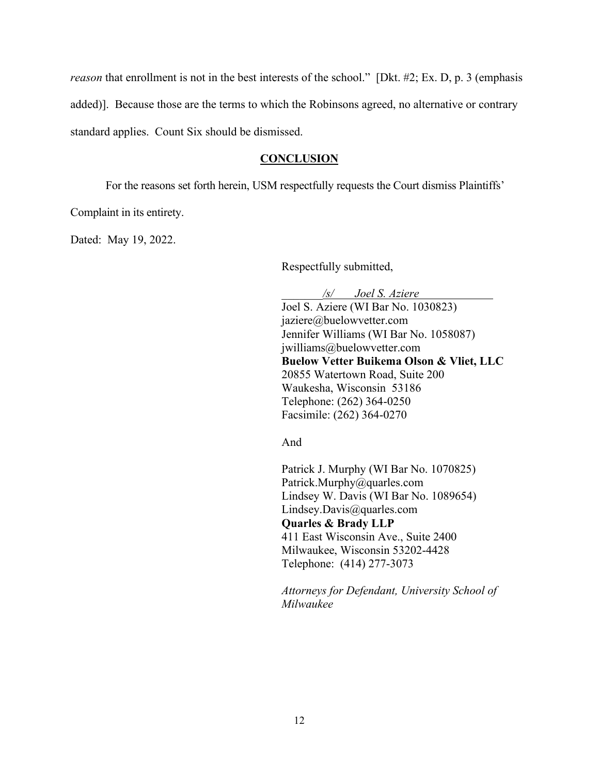*reason* that enrollment is not in the best interests of the school." [Dkt. #2; Ex. D, p. 3 (emphasis added)]. Because those are the terms to which the Robinsons agreed, no alternative or contrary standard applies. Count Six should be dismissed.

#### **CONCLUSION**

For the reasons set forth herein, USM respectfully requests the Court dismiss Plaintiffs'

Complaint in its entirety.

Dated: May 19, 2022.

Respectfully submitted,

*\_\_\_\_\_\_\_/s/ Joel S. Aziere*

Joel S. Aziere (WI Bar No. 1030823) jaziere@buelowvetter.com Jennifer Williams (WI Bar No. 1058087) jwilliams@buelowvetter.com **Buelow Vetter Buikema Olson & Vliet, LLC** 20855 Watertown Road, Suite 200 Waukesha, Wisconsin 53186 Telephone: (262) 364-0250 Facsimile: (262) 364-0270

And

Patrick J. Murphy (WI Bar No. 1070825) Patrick.Murphy@quarles.com Lindsey W. Davis (WI Bar No. 1089654) Lindsey.Davis@quarles.com **Quarles & Brady LLP** 411 East Wisconsin Ave., Suite 2400 Milwaukee, Wisconsin 53202-4428 Telephone: (414) 277-3073

*Attorneys for Defendant, University School of Milwaukee*